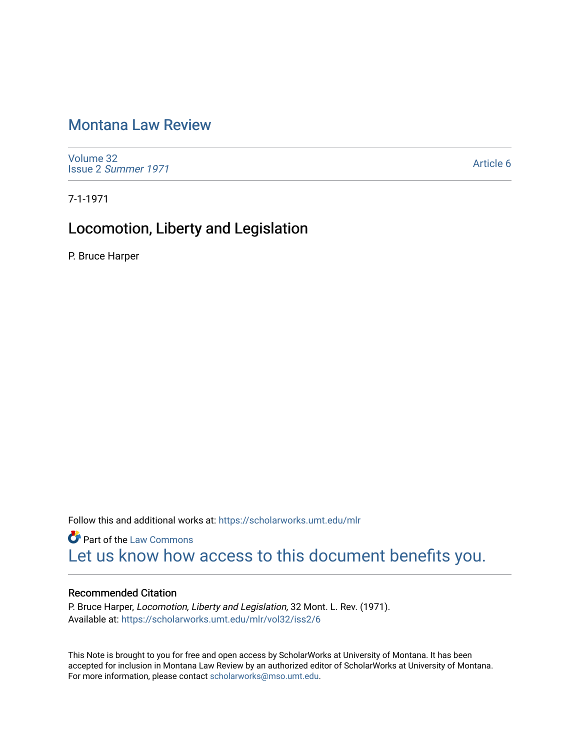# [Montana Law Review](https://scholarworks.umt.edu/mlr)

[Volume 32](https://scholarworks.umt.edu/mlr/vol32) Issue 2 [Summer 1971](https://scholarworks.umt.edu/mlr/vol32/iss2) 

[Article 6](https://scholarworks.umt.edu/mlr/vol32/iss2/6) 

7-1-1971

## Locomotion, Liberty and Legislation

P. Bruce Harper

Follow this and additional works at: [https://scholarworks.umt.edu/mlr](https://scholarworks.umt.edu/mlr?utm_source=scholarworks.umt.edu%2Fmlr%2Fvol32%2Fiss2%2F6&utm_medium=PDF&utm_campaign=PDFCoverPages) 

**Part of the [Law Commons](http://network.bepress.com/hgg/discipline/578?utm_source=scholarworks.umt.edu%2Fmlr%2Fvol32%2Fiss2%2F6&utm_medium=PDF&utm_campaign=PDFCoverPages)** [Let us know how access to this document benefits you.](https://goo.gl/forms/s2rGfXOLzz71qgsB2) 

## Recommended Citation

P. Bruce Harper, Locomotion, Liberty and Legislation, 32 Mont. L. Rev. (1971). Available at: [https://scholarworks.umt.edu/mlr/vol32/iss2/6](https://scholarworks.umt.edu/mlr/vol32/iss2/6?utm_source=scholarworks.umt.edu%2Fmlr%2Fvol32%2Fiss2%2F6&utm_medium=PDF&utm_campaign=PDFCoverPages) 

This Note is brought to you for free and open access by ScholarWorks at University of Montana. It has been accepted for inclusion in Montana Law Review by an authorized editor of ScholarWorks at University of Montana. For more information, please contact [scholarworks@mso.umt.edu.](mailto:scholarworks@mso.umt.edu)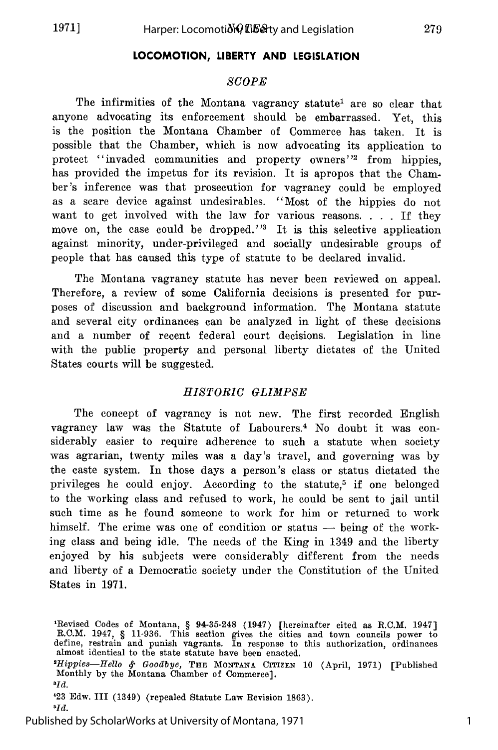## **LOCOMOTION, LIBERTY AND LEGISLATION**

## *SCOPE*

The infirmities of the Montana vagrancy statute<sup>1</sup> are so clear that anyone advocating its enforcement should be embarrassed. Yet, this is the position the Montana Chamber of Commerce has taken. It is possible that the Chamber, which is now advocating its application to protect "invaded communities and property owners''2 from hippies, has provided the impetus for its revision. It is apropos that the Chamber's inference was that prosecution for vagrancy could be employed as a scare device against undesirables. "Most of the hippies do not want to get involved with the law for various reasons. . . . If they move on, the case could be dropped.'<sup>3</sup> It is this selective application against minority, under-privileged and socially undesirable groups of people that has caused this type of statute to be declared invalid.

The Montana vagrancy statute has never been reviewed on appeal. Therefore, a review of some California decisions is presented for purposes of discussion and background information. The Montana statute and several city ordinances can be analyzed in light of these decisions and a number of recent federal court decisions. Legislation in line with the public property and personal liberty dictates of the United States courts will be suggested.

## *HISTORIC GLIMPSE*

The concept of vagrancy is not new. The first recorded English vagrancy law was the Statute of Labourers.<sup>4</sup> No doubt it was considerably easier to require adherence to such a statute when society was agrarian, twenty miles was a day's travel, and governing was by the caste system. In those days a person's class or status dictated the privileges he could enjoy. According to the statute,<sup>5</sup> if one belonged to the working class and refused to work, he could be sent to jail until such time as he found someone to work for him or returned to work himself. The crime was one of condition or status  $-$  being of the working class and being idle. The needs of the King in 1349 and the liberty enjoyed by his subjects were considerably different from the needs and liberty of a Democratic society under the Constitution of the United States in 1971.

*'Hippies-Hello &. Goodbye,* **THE MONTANA CITIZEN** 10 (April, 1971) [Published Monthly by the Montana Chamber of Commerce].

*sid.*

**'23** Edw. III (1349) (repealed Statute Law Revision 1863). *sId.*

Published by ScholarWorks at University of Montana, 1971

1

<sup>&#</sup>x27;Revised Codes of Montana, § 94-35-248 (1947) [hereinafter cited as R.C.M. 1947] R.C.M. 1947, § 11-936. This section gives the cities and town councils power to define, restrain and punish vagrants. In response to this authorization, ordinances almost identical to the state statute have been enacted.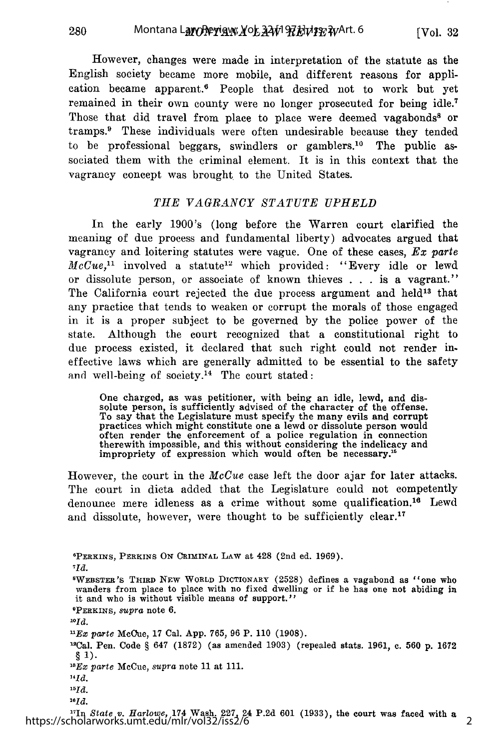However, changes were made in interpretation of the statute as the English society became more mobile, and different reasons for application became apparent.6 People that desired not to work but yet remained in their own county were no longer prosecuted for being idle.' Those that did travel from place to place were deemed vagabonds<sup>8</sup> or tramps.<sup>9</sup> These individuals were often undesirable because they tended to be professional beggars, swindlers or gamblers.<sup>10</sup> The public associated them with the criminal element. It is in this context that the vagrancy concept was brought to the United States.

## *THE VAGRANCY STATUTE UPHELD*

In the early 1900's (long before the Warren court clarified the meaning of due process and fundamental liberty) advocates argued that vagrancy and loitering statutes were vague. One of these cases, *Ex parte McCue*,<sup>11</sup> involved a statute<sup>12</sup> which provided: "Every idle or lewd or dissolute person, or associate of known thieves . . . is a vagrant." The California court rejected the due process argument and held<sup>13</sup> that any practice that tends to weaken or corrupt the morals of those engaged in it is a proper subject to be governed by the police power of the state. Although the court recognized that a constitutional right to due process existed, it declared that such right could not render ineffective laws which are generally admitted to be essential to the safety and well-being of society.<sup>14</sup> The court stated:

One charged, as was petitioner, with being an idle, lewd, and dis-solute person, is sufficiently advised of the character of the offense. To say that the Legislature must specify the many evils and corrupt practices which might constitute one a lewd or dissolute person would often render the enforcement of a police regulation in connection therewith impossible, and this without considering the indelicacy and impropriety of expression which would often be necessary.<sup>15</sup>

However, the court in the *McCue* case left the door ajar for later attacks. The court in dicta added that the Legislature could not competently denounce mere idleness as a crime without some qualification.<sup>16</sup> Lewd and dissolute, however, were thought to be sufficiently clear.<sup>17</sup>

**6 PERKINS, PERKINS ON CRIMINAL** LAW **at** 428 (2nd ed. 1969). *7Id.* <sup>8</sup>WEBSTER'S THIRD NEW WORLD DICTIONARY (2528) defines a vagabond as "one who wanders from place to place with no fixed dwelling or if he has one not abiding in it and who is without visible means of support." **PERKINS,** *supra* note **6.** *lOld. UEx parte* McCue, 17 Cal. **App.** 765, 96 P. 110 (1908). 12Cal. Pen. Code § 647 (1872) (as amended 1903) (repealed stats. 1961, c. **560** p. 1672 *§* 1). *" 3Ex parte* McCue, *supra* note 11 at 111. *"Id. 1 5 Id. 'OId.* 17In *State v. Harlowe,* 174 Wash. 227, 24 P.2d 601 (1933), the court was faced with a https://scholarworks.umt.edu/mlr/vol32/iss2/6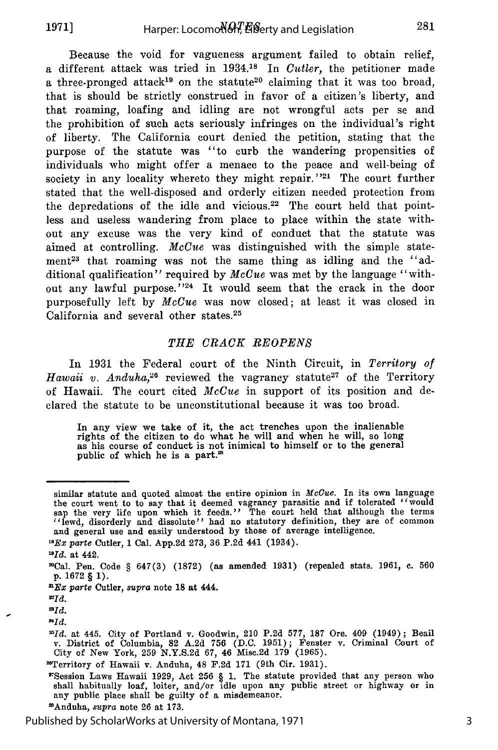Because the void for vagueness argument failed to obtain relief, a different attack was tried in **1934.18** In *Cutler,* the petitioner made a three-pronged attack<sup>19</sup> on the statute<sup>20</sup> claiming that it was too broad, that is should be strictly construed in favor of a citizen's liberty, and that roaming, loafing and idling are not wrongful acts per se and the prohibition of such acts seriously infringes on the individual's right of liberty. The California court denied the petition, stating that the purpose of the statute was "to curb the wandering propensities of individuals who might offer a menace to the peace and well-being of society in any locality whereto they might repair."<sup>21</sup> The court further stated that the well-disposed and orderly citizen needed protection from the depredations of the idle and vicious.<sup>22</sup> The court held that pointless and useless wandering from place to place within the state without any excuse was the very kind of conduct that the statute was aimed at controlling. *McCue* was distinguished with the simple statement<sup>23</sup> that roaming was not the same thing as idling and the "additional qualification" required by *McCue* was met by the language "without any lawful purpose."<sup>24</sup> It would seem that the crack in the door purposefully left by *McCue* was now closed; at least it was closed in California and several other states.<sup>25</sup>

#### THE CRACK REOPENS

In 1931 the Federal court of the Ninth Circuit, in *Territory of Hawaii v. Anduha*<sup>26</sup> reviewed the vagrancy statute<sup>27</sup> of the Territory of Hawaii. The court cited *McCue* in support of its position and declared the statute to be unconstitutional because it was too broad.

In any view we take of it, the act trenches upon the inalienable rights of the citizen to do what he will and when he will, so long as his course of conduct is not inimical to himself or to the general public of which he is a part.<sup>28</sup>

*AId.*

similar statute and quoted almost the entire opinion in *McCue*. In its own language<br>the court went to to say that it deemed vagrancy parasitic and if tolerated "would sap the very life upon which it feeds." The court held that although the terms "lewd, disorderly and dissolute" had no statutory definition, they are of common and general use and easily understood by those of average intelligence.

**<sup>&</sup>quot;Ex** *parte* Cutler, **1** Cal. App.2d 273, 36 **P.2d** 441 (1934).

*<sup>&#</sup>x27;OId.* at 442.

<sup>&</sup>quot;Cal. Pen. Code **§** 647(3) (1872) (as amended 1931) (repealed stats. 1961, **c.** 560 p. 1672 § **1).**

nEx *parte* Cutler, *supra* note **18** at 444.

*<sup>21</sup>Id.*

*<sup>=</sup>Id.*

*<sup>&</sup>quot;Id.* at 445. City of Portland v. Goodwin, 210 P.2d 577, 187 Ore. 409 (1949); Beail v. District of Columbia, 82 A.2d 756 (D.C. 1951); Fenster v. Criminal Court of City of New York, 259 N.Y.S.2d 67, 46 Mise.2d 179 (1965).

<sup>&</sup>quot;Territory of Hawaii v. Anduha, 48 F.2d **171** (9th Cir. 1931).

<sup>7&#</sup>x27;Session Laws Hawaii 1929, Act 256 § 1. The statute provided that any person who shall habitually loaf, loiter, and/or idle upon any public street or highway or in any public place shall be guilty of a misdemeanor. 'Anduha, *supra* note 26 at **173.**

Published by ScholarWorks at University of Montana, 1971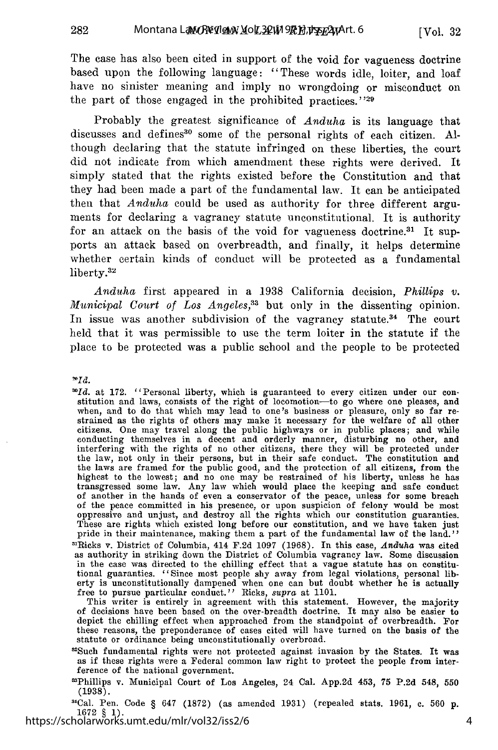The case has also been cited in support of the void for vagueness doctrine based upon the following language: "These words idle, loiter, and loaf have no sinister meaning and imply no wrongdoing or misconduct on the part of those engaged in the prohibited practices."<sup>29</sup>

Probably the greatest significance of *Anduha* is its language that discusses and defines<sup>30</sup> some of the personal rights of each citizen. Although declaring that the statute infringed on these liberties, the court did not indicate from which amendment these rights were derived. It simply stated that the rights existed before the Constitution and that they had been made a part of the fundamental law. It can be anticipated then that *Anduha* could be used as authority for three different arguments for declaring a vagrancy statute unconstitutional. It is authority for an attack on the basis of the void for vagueness doctrine.<sup>31</sup> It supports an attack based on overbreadth, and finally, it helps determine whether certain kinds of conduct will be protected as a fundamental liberty.32

*Anduha* first appeared in a 1938 California decision, *Phillips v. Municipal Court of Los Angeles*,<sup>33</sup> but only in the dissenting opinion. In issue was another subdivision of the vagrancy statute.<sup>34</sup> The court held that it was permissible to use the term loiter in the statute if the place to be protected was a public school and the people to be protected

 $\mathbf{P}Id.$ 

282

*"'Id.* at 172. "Personal liberty, which is guaranteed to every citizen under our constitution and laws, consists of the right of locomotion-to go where one pleases, and when, and to do that which may lead to one's business or pleasure, only so far restrained as the rights of others may make it necessary for the welfare of all other<br>citizens. One may travel along the public highways or in conducting themselves in a decent and orderly manner, disturbing no other, and interfering with the rights of no other citizens, there they will be protected under the law, not only in their persons, but in their safe conduct. The constitution and the laws are framed for the public good, and the protection of all citizens, from the highest to the lowest; and no one may be restrained of his liberty, unless he has transgressed some law. Any law which would place the keeping and safe conductof another in the hands of even a conservator of the peace, unless for some breach of the peace committed in his presence, or upon suspicion of felony would be mos oppressive and unjust, and destroy all the rights which our constitution guaranties. These are rights which existed long before our constitution, and we have taken just pride in their maintenance, making them a part of the fundamental law of the land." "1Ricks v. District of Columbia, 414 F.2d 1097 (1968). In this case, *Anduha* was cited as authority in striking down the District of Columbia vagrancy law. Some discussion in the case was directed to the chilling effect that a vague statute has on constitutional guaranties. "Since most people shy away from legal violations, personal liberty is unconstitutionally dampened when one can but doubt whether he is actually free to pursue particular conduct." Ricks, *supra* at 1101.

This writer is entirely in agreement with this statement. However, the majority of decisions have been based on the over-breadth doctrine. It may also be easier to depict the chilling effect when approached from the standpoint of overbreadth. For these reasons, the preponderance of cases cited will have turned on the basis of the statute or ordinance being unconstitutionally overbroad.

"Such fundamental rights were not protected against invasion by the States. It was as if these rights were a Federal common law right to protect the people from interference of the national government.

"Phillips v. Municipal Court of Los Angeles, 24 Cal. App.2d 453, 75 P.2d 548, 550 (1938).

'Cal. Pen. Code § 647 (1872) (as amended 1931) (repealed stats. 1961, **c.** 560 **p.** 1672 § 1). https://scholarworks.umt.edu/mlr/vol32/iss2/6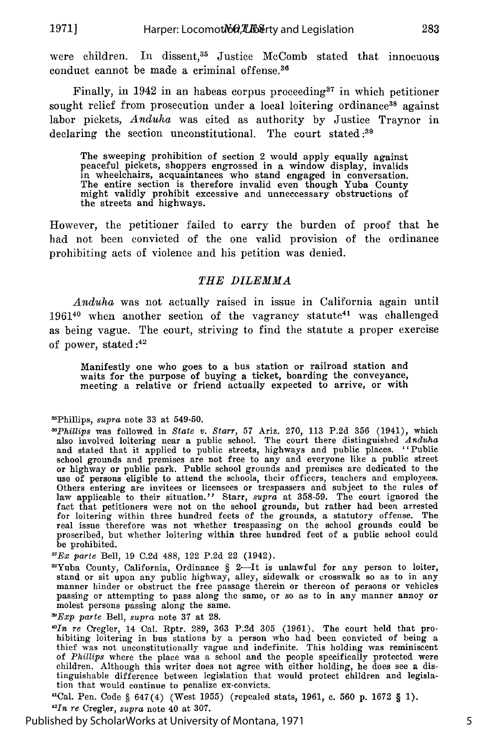**1971]**

were children. In dissent,<sup>35</sup> Justice McComb stated that innocuous conduct cannot be made a criminal offense.<sup>36</sup>

Finally, in 1942 in an habeas corpus proceeding<sup>37</sup> in which petitioner sought relief from prosecution under a local loitering ordinance<sup>38</sup> against labor pickets, *Anduha* was cited as authority by Justice Traynor in declaring the section unconstitutional. The court stated:<sup>39</sup>

The sweeping prohibition of section 2 would apply equally against peaceful pickets, shoppers engrossed in a window display, invalids in wheelchairs, acquaintances who stand engaged in conversation. The entire section is therefore invalid even though Yuba County might validly prohibit excessive and unneccessary obstructions of the streets and highways.

However, the petitioner failed to carry the burden of proof that he had not been convicted of the one valid provision of the ordinance prohibiting acts of violence and his petition was denied.

## *THE DILEMMA*

*Anduha* was not actually raised in issue in California again until  $1961^{40}$  when another section of the vagrancy statute<sup>41</sup> was challenged as being vague. The court, striving to find the statute a proper exercise of power, stated *:42*

Manifestly one who goes to a bus station or railroad station and waits for the purpose of buying a ticket, boarding the conveyance, meeting a relative or friend actually expected to arrive, or with

Published by ScholarWorks at University of Montana, 1971

<sup>&</sup>quot;Phillips, *supra* note 33 at 549-50.

*<sup>&</sup>quot;Phillips* was followed in *State v. Starr,* 57 Ariz. 270, 113 P.2d 356 (1941), which also involved loitering near a public school. The court there distinguished *Anduha* and stated that it applied to public streets, highways and public places. "Public school grounds and premises are not free to any and everyone like a public street<br>or highway or public park. Public school grounds and premises are dedicated to the<br>use of persons eligible to attend the schools, their offi Others entering are invitees or licensees or trespassers and subject to the rules of law applicable to their situation." Starr, *supra* at 358-59. The court ignored the fact that petitioners were not on the school grounds, but rather had been arrested for loitering within three hundred feets of the grounds, a statutory offense. The real issue therefore was not whether trespassing on the school grounds could be proscribed, but whether loitering within three hundred feet of a public school could be prohibited.

*<sup>&#</sup>x27;Ex parte* Bell, 19 C.2d 488, 122 P.2d 22 (1942).

<sup>&#</sup>x27;Yuba County, California, Ordinance § 2-It is unlawful for any person to loiter, stand or sit upon any public highway, alley, sidewalk or crosswalk so as to in any manner hinder or obstruct the free passage therein or thereon of persons or vehicles passing or attempting to pass along the same, or so as to in any manner annoy or molest persons passing along the same.

*<sup>&</sup>quot;Exp parte* Bell, *supra* note 37 at 28.

*<sup>&#</sup>x27;In re* Cregler, 14 Cal. Rptr. 289, 363 P.2d 305 (1961). The court held that prohibiting loitering in bus stations by a person who had been convicted of being a thief was not unconstitutionally vague and indefinite. This holding was reminiscent of *Phillips* where the place was a school and the people specifically protected were children. Although this writer does not agree with either holding, he does see a distinguishable difference between legislation that would protect children and legislation that would continue to penalize ex-convicts.

<sup>&</sup>quot;Cal. Pen. Code § 647(4) (West 1955) (repealed stats, 1961, c. 560 p. 1672 § 1). *" n re* Cregler, *supra* note 40 at 307.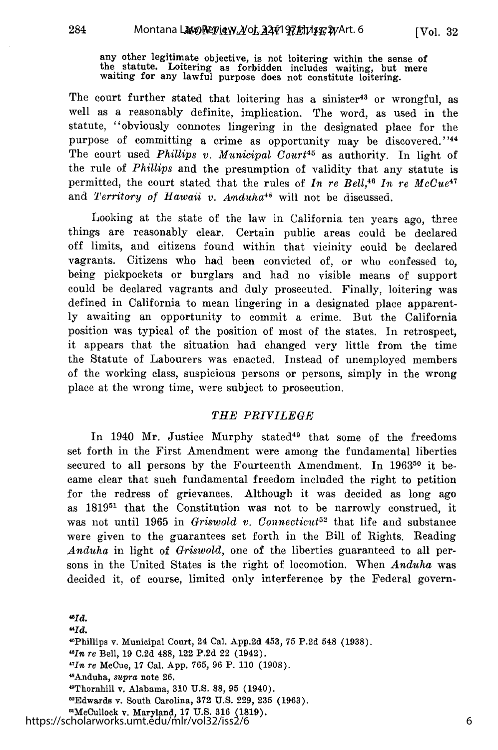[Vol. **32**

any other legitimate objective, is not loitering within the sense of the statute. Loitering as forbidden includes waiting, but mere waiting for any lawful purpose does not constitute loitering.

The court further stated that loitering has a sinister<sup>43</sup> or wrongful, as well as a reasonably definite, implication. The word, as used in the statute, "obviously connotes lingering in the designated place for the purpose of committing a crime as opportunity may be discovered."44 The court used *Phillips v. Municipal Court45* as authority. In light of the rule of *Phillips* and the presumption of validity that any statute is permitted, the court stated that the rules of *In re Bell*,<sup>46</sup> *In re McCue*<sup>47</sup> and *Territory of Hawaii v. Anduha46* will not be discussed.

Looking at the state of the law in California ten years ago, three things are reasonably clear. Certain public areas could be declared off limits, and citizens found within that vicinity could be declared vagrants. Citizens who had been convicted of, or who confessed to, being pickpockets or burglars and had no visible means of support could be declared vagrants and duly prosecuted. Finally, loitering was defined in California to mean lingering in a designated place apparently awaiting an opportunity to commit a crime. But the California position was typical of the position of most of the states. In retrospect, it appears that the situation had changed very little from the time the Statute of Labourers was enacted. Instead of unemployed members of the working class, suspicious persons or persons, simply in the wrong place at the wrong time, were subject to prosecution.

#### *THE PRIVILEGE*

In 1940 Mr. Justice Murphy stated<sup>49</sup> that some of the freedoms set forth in the First Amendment were among the fundamental liberties secured to all persons by the Fourteenth Amendment. In **196350** it became clear that such fundamental freedom included the right to petition for the redress of grievances. Although it was decided as long ago as 18195' that the Constitution was not to be narrowly construed, it was not until 1965 in *Griswold v. Connecticut52* that life and substance were given to the guarantees set forth in the Bill of Rights. Reading *Anduha* in light of *Griswold,* one of the liberties guaranteed to all persons in the United States is the right of locomotion. When *Anduha* was decided it, of course, limited only interference by the Federal govern-

*4Id.*

 $Hd.$ "Phillips v. Municipal Court, 24 Cal. **App.2d** 453, **75 P.2d 548 (1938).** *"In re* Bell, **19 C.2d 488,** 122 **P.2d** 22 (1942). *1TIn re* McCue, **17** Cal. **App. 765, 96 P. 110 (1908). <sup>4</sup> 'Anduha,** *supra* note **26.** "Thornhill v. Alabama, **310 U.S. 88, 95** (1940). **"°Edwards** v. South Carolina, **372 U.S. 229, 235 (1963).** "McCullock v. Maryland, **17 U.S. 316 (1819).** https://scholarworks.umt.edu/mlr/vol32/iss2/6

284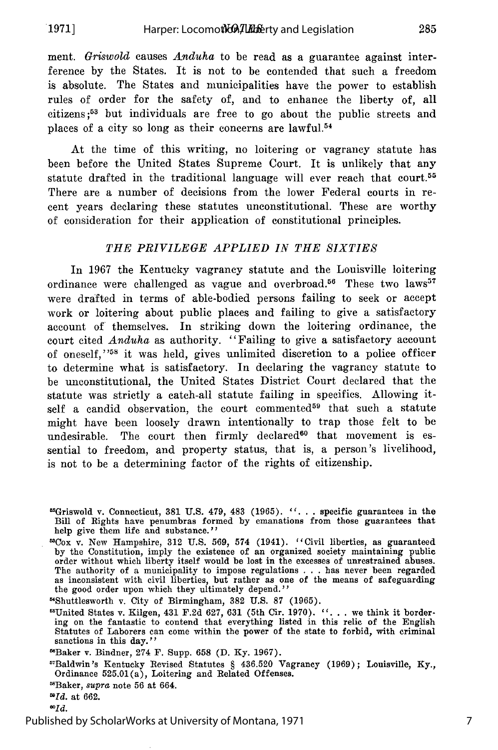**.1971]**

ment. *Griswold* causes *Anduha* to be read as a guarantee against interference by the States. It is not to be contended that such a freedom is absolute. The States and municipalities have the power to establish rules of order for the safety of, and to enhance the liberty of, all citizens;53 but individuals are free to go about the public streets and places of a city so long as their concerns are lawful. $54$ 

At the time of this writing, no loitering or vagrancy statute has been before the United States Supreme Court. It is unlikely that any statute drafted in the traditional language will ever reach that court.<sup>55</sup> There are a number of decisions from the lower Federal courts in recent years declaring these statutes unconstitutional. These are worthy of consideration for their application of constitutional principles.

## *THE PRIVILEGE APPLIED IN THE SIXTIES*

In 1967 the Kentucky vagrancy statute and the Louisville loitering ordinance were challenged as vague and overbroad.<sup>56</sup> These two laws<sup>57</sup> were drafted in terms of able-bodied persons failing to seek or accept work or loitering about public places and failing to give a satisfactory account of themselves. In striking down the loitering ordinance, the court cited *Anduha* as authority. "Failing to give a satisfactory account of oneself," 58 it was held, gives unlimited discretion to a police officer to determine what is satisfactory. In declaring the vagrancy statute to be unconstitutional, the United States District Court declared that the statute was strictly a catch-all statute failing in specifics. Allowing itself a candid observation, the court commented<sup>59</sup> that such a statute might have been loosely drawn intentionally to trap those felt to be undesirable. The court then firmly declared<sup>60</sup> that movement is essential to freedom, and property status, that is, a person's livelihood, is not to be a determining factor of the rights of citizenship.

 $^{60}Id.$ 

<sup>&</sup>quot;Griswold v. Connecticut, **381 U.S.** 479, 483 **(1965). ". . .** specific guarantees in the Bill of Rights have penumbras formed by emanations from those guarantees that help give them life and substance.''

<sup>53</sup>Cox v. New Hampshire, 312 U.S. 569, 574 (1941). 'Civil liberties, as guaranteed by the Constitution, imply the existence of an organized society maintaining public order without which liberty itself would be lost in the excesses of unrestrained abuses. The authority of a municipality to impose regulations . . . has never been regarded as inconsistent with civil liberties, but rather as one of the means of safeguarding the good order upon which they ultimately depend.

<sup>&</sup>quot;Shuttlesworth v. City of Birmingham, 382 U.S. **87** (1965).

<sup>&</sup>lt;sup>55</sup>United States v. Kilgen, 431 F.2d 627, 631 (5th Cir. 1970). "... we think it bordering on the fantastic to contend that everything listed in this relic of the English Statutes of Laborers can come within the power of the state to forbid, with criminal sanctions in this day."

<sup>&#</sup>x27;Baker v. Bindner, 274 F. Supp. 658 (D. Ky. 1967).

<sup>&#</sup>x27; 7 Baldwin's Kentucky Revised Statutes § 436.520 Vagrancy (1969); Louisville, Ky., Ordinance 525.01(a), Loitering and Related Offenses.

<sup>&#</sup>x27;Baker, *supra* note 56 at 664.

*<sup>0</sup>Id.* at 662.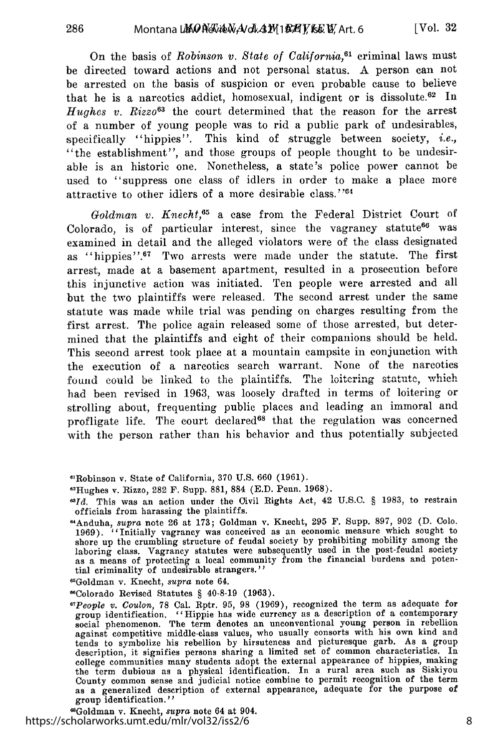On the basis of *Robinson v. State of California*,<sup>61</sup> criminal laws must be directed toward actions and not personal status. A person can not be arrested on the basis of suspicion or even probable cause to believe that he is a narcotics addict, homosexual, indigent or is dissolute.<sup>62</sup> In *Hughes v. Rizzo*<sup>63</sup> the court determined that the reason for the arrest of a number of young people was to rid a public park of undesirables, specifically "hippies". This kind of struggle between society, *i.e.,* "the establishment", and those groups of people thought to be undesirable is an historic one. Nonetheless, a state's police power cannot be used to "suppress one class of idlers in order to make a place more attractive to other idlers of a more desirable class. **"'64**

*Goldman v. Knecht,65* a case from the Federal District Court of Colorado, is of particular interest, since the vagrancy statute<sup>66</sup> was examined in detail and the alleged violators were of the class designated as "hippies".67 Two arrests were made under the statute. The first arrest, made at a basement apartment, resulted in a prosecution before this injunctive action was initiated. Ten people were arrested and all but the two plaintiffs were released. The second arrest under the same statute was made while trial was pending on charges resulting from the first arrest. The police again released some of those arrested, but determined that the plaintiffs and eight of their companions should be held. This second arrest took place at a mountain campsite in conjunction with the execution of a narcotics search warrant. None of the narcotics found could be linked to the plaintiffs. The loitering statute, which had been revised in 1963, was loosely drafted in terms of loitering or strolling about, frequenting public places and leading an immoral and profligate life. The court declared<sup>68</sup> that the regulation was concerned with the person rather than his behavior and thus potentially subjected

"Goldman v. Knecht, *supra* note 64.

wColorado Revised Statutes § 40-8-19 (1963).

Goldman v. Kneeht, *supra* note 64 at 904. https://scholarworks.umt.edu/mlr/vol32/iss2/6

<sup>&</sup>quot;'Robinson v. State of California, 370 **U.S.** 660 **(1961).**

<sup>&</sup>quot;Hughes v. Rizzo, 282 **F.** Supp. 881, 884 (E.D. Penn. 1968). *3Id.* This was an action under the Civil Rights Act, 42 U.S.C. § 1983, to restrain officials from harassing the plaintiffs.

<sup>&</sup>quot;Anduha, supra note 26 at 173; Goldman v. Knecht, 295 F. Supp. 897, 902 (D. Colo. 1969). "Initially vagrancy was conceived as an economic measure which sought to shore up the crumbling structure of feudal society by prohib laboring class. Vagrancy statutes were subsequently used in the post-feudal society as a means of protecting a local community from the financial burdens and poten-tial criminality of undesirable strangers."

*<sup>&#</sup>x27;TPeople v. Coulon,* 78 Cal. Rptr. 95, 98 (1969), recognized the term as adequate for group identification. "Hippie has wide currency as a description of a contemporary social phenomenon. The term denotes an unconventional young person in rebellion against competitive middle-class values, who usually consorts with his own kind and tends to symbolize his rebellion by hirsuteness and picturesque garb. As a group description, it signifies persons sharing a limited set of common characteristics. In college communities many students adopt the external appearance of hippies, making the term dubious as a physical identification. In a rural area such as Siskiyou County common sense and judicial notice combine to permit recognition of the term as a generalized description of external appearance, adequate for the purpose of group identification. *''*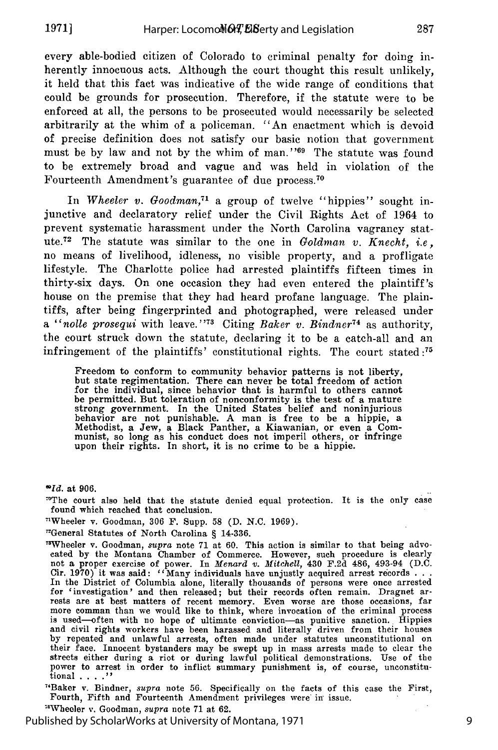every able-bodied citizen of Colorado to criminal penalty for doing inherently innocuous acts. Although the court thought this result unlikely, it held that this fact was indicative of the wide range of conditions that could be grounds for prosecution. Therefore, if the statute were to be enforced at all, the persons to be prosecuted would necessarily be selected arbitrarily at the whim of a policeman. "An enactment which is devoid of precise definition does not satisfy our basic notion that government must be by law and not by the whim of man."<sup>969</sup> The statute was found to be extremely broad and vague and was held in violation of the Fourteenth Amendment's guarantee of due process.<sup>70</sup>

In *Wheeler v. Goodman*,<sup>71</sup> a group of twelve "hippies" sought injunctive and declaratory relief under the Civil Rights Act of 1964 to prevent systematic harassment under the North Carolina vagrancy statute. 72 The statute was similar to the one in *Goldman v. Knecht, i.e,* no means of livelihood, idleness, no visible property, and a profligate lifestyle. The Charlotte police had arrested plaintiffs fifteen times in thirty-six days. On one occasion they had even entered the plaintiff's house on the premise that they had heard profane language. The plaintiffs, after being fingerprinted and photographed, were released under a "*nolle prosequi* with leave."<sup>73</sup> Citing *Baker v. Bindner*<sup>74</sup> as authority, the court struck down the statute, declaring it to be a catch-all and an infringement of the plaintiffs' constitutional rights. The court stated **:75**

Freedom to conform to community behavior patterns is not liberty, but state regimentation. There can never be total freedom of action for the individual, since behavior that is harmful to others cannot be permitted. But toleration of nonconformity is the test of a mature strong government. In the United States belief and noninjurious behavior are not punishable. A man is free to be a hippie, a Methodist, a Jew, a Black Panther, a Kiawanian, or even a Communist, so long as his conduct does not imperil others, or infringe upon their rights. In short, it is no crime to be a hippie.

*wId.* at **906.**

'The court also held that the statute denied equal protection. It is the only case found which reached that conclusion.

nWheeler v. Goodman, 306 F. Supp. 58 (D. N.C. 1969).

"'General Statutes of North Carolina § 14-336.

<sup>3</sup>Wheeler v. Goodman, *supra* note 71 at 60. This action is similar to that being advocated by the Montana Chamber of Commerce. However, such procedure is clearly not a proper exercise of power. In *Menard v. Mitchell*, Cir. 1970) it was said: "Many individuals have unjustly acquired arrest records **. . .** In the District of Columbia alone, literally thousands of persons were once arrested for 'investigation' and then released; but their records often remain. Dragnet arrests are at best matters of recent memory. Even worse are those occasions, far<br>more comman than we would like to think, where invocation of is used-often with no hope of ultimate conviction-as punitive sanction. Hippies **and** civil rights workers have been harassed and literally driven from their houses by repeated and unlawful arrests, often made under statutes unconstitutional on<br>their face. Innocent bystanders may be swept up in mass arrests made to clear the<br>streets either during a riot or during lawful political demo tional . **... 1**

"Baker v. Bindner, *supra* note 56. Specifically on the facts of this case the First, Fourth, Fifth and Fourteenth Amendment privileges were in issue.

Wheeler v. Goodman, *supra* note 71 at **62.**

Published by ScholarWorks at University of Montana, 1971

287

9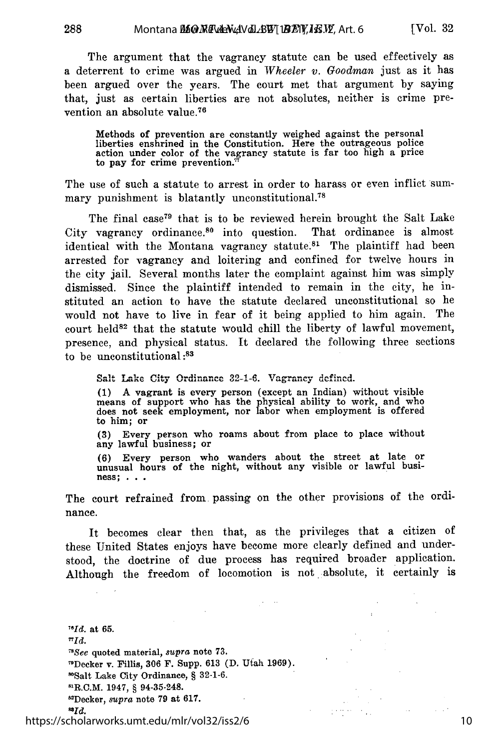The argument that the vagrancy statute can be used effectively as a deterrent to crime was argued in *Wheeler v. Goodman* just as it has been argued over the years. The court met that argument by saying that, just as certain liberties are not absolutes, neither is crime prevention an absolute value.<sup>76</sup>

Methods of prevention are constantly weighed against the personal liberties enshrined in the Constitution. Here the outrageous police action under color of the vagrancy statute is far too high a price to pay for crime prevention.'

The use of such a statute to arrest in order to harass or even inflict summary punishment is blatantly unconstitutional.<sup>78</sup>

The final case<sup>79</sup> that is to be reviewed herein brought the Salt Lake City vagrancy ordinance.80 into question. That ordinance is almost identical with the Montana vagrancy statute.<sup>81</sup> The plaintiff had been arrested for vagrancy and loitering and confined for twelve hours in the city jail. Several months later the complaint against him was simply dismissed. Since the plaintiff intended to remain in the city, he instituted an action to have the statute declared unconstitutional so he would not have to live in fear of it being applied to him again. The court held<sup>82</sup> that the statute would chill the liberty of lawful movement, presence, and physical status. It declared the following three sections to be unconstitutional **:s**

Salt Lake City Ordinance 32-1-6. Vagrancy defined.

**(1)** A vagrant is every person (except an Indian) without visible means of support who has the physical ability to work, and who does not seek employment, nor labor when employment is offered to him; or

**(3)** Every person who roams about from place to place without any lawful business; or

**(6)** Every person who wanders about the street at late or unusual hours of the night, without any visible or lawful business; **. . .**

The court refrained from passing on the other provisions of the ordinance.

It becomes clear then that, as the privileges that a citizen **of** these United States enjoys have become more clearly defined and understood, the doctrine of due process has required broader application. Although the freedom of locomotion is not absolute, it certainly is

*"'Id.* at **65.** *<sup>T</sup>*  $\pi_{Id.}$ *,'See* quoted material, *supra* note **73.** 9Decker **v.** Fillis, **306** F. Supp. **613 (D.** Utah **1969).** 0 8Salt Lake City Ordinance, § **32-1-6.** -R.C.M. 1947, § 94-35-248. 82Decker, *supra* note 79 at **617.** <sup>ss</sup>Id.

https://scholarworks.umt.edu/mlr/vol32/iss2/6

 $\sim$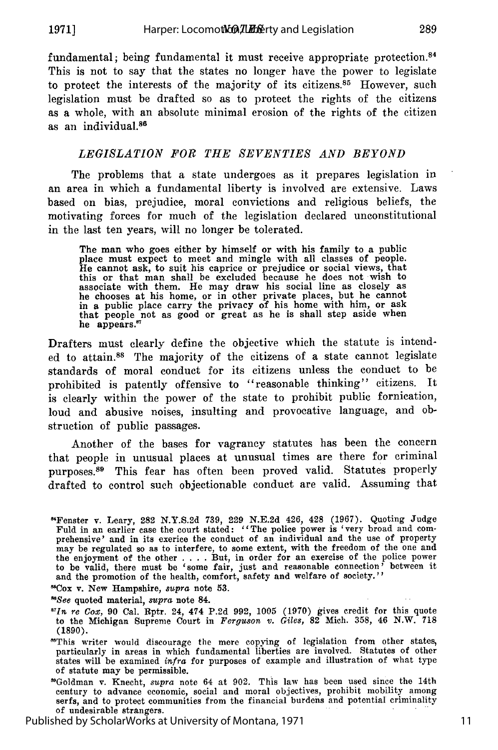**1971]**

fundamental; being fundamental it must receive appropriate protection.<sup>84</sup> This is not to say that the states no longer have the power to legislate to protect the interests of the majority of its citizens. $85$  However, such legislation must be drafted so as to protect the rights of the citizens as a whole, with an absolute minimal erosion of the rights of the citizen as an individual.<sup>86</sup>

## *LEGISLATION FOR THE SEVENTIES AND BEYOND*

The problems that a state undergoes as it prepares legislation in an area in which a fundamental liberty is involved are extensive. Laws based on bias, prejudice, moral convictions and religious beliefs, the motivating forces for much of the legislation declared unconstitutional in the last ten years, will no longer be tolerated.

The man who goes either by himself or with his family to a public place must expect to meet and mingle with all classes of people. He cannot ask, to suit his caprice or prejudice or social views, that this or that man shall be excluded because he does not wish to associate with them. He may draw his social line as closely as<br>he chooses at his home, or in other private places, but he cannot<br>in a public place carry the privacy of his home with him, or ask<br>that people not as good or g he appears.

Drafters must clearly define the objective which the statute is intended to attain. 88 The majority of the citizens of a state cannot legislate standards of moral conduct for its citizens unless the conduct to be prohibited is patently offensive to "reasonable thinking" citizens. It is clearly within the power of the state to prohibit public fornication, loud and abusive noises, insulting and provocative language, and obstruction of public passages.

Another of the bases for vagrancy statutes has been the concern that people in unusual places at unusual times are there for criminal purposes.<sup>89</sup> This fear has often been proved valid. Statutes properly drafted to control such objectionable conduct are valid. Assuming that

"Cox v. New Hampshire, *supra* note **53.**

*"See* quoted material, *supra* note 84.

Published by ScholarWorks at University of Montana, 1971

<sup>&</sup>quot;Fenster **v.** Leary, **282 N.Y.S.2d 739, 229 N.E.2d** 426, 428 **(1967).** Quoting Judge Fuld in an earlier case the court stated: "The police power is 'very broad and comprehensive' and in **its** exerice the conduct of an individual and the use of property may be regulated so as to interfere, to some extent, with the freedom of the one and the enjoyment of the other . . . . But, in order for an exercise of the police power to be valid, there must be 'some fair, just and reas and the promotion of the health, comfort, safety and welfare of society.

*<sup>6&</sup>quot;In re Gox,* 90 Cal. Rptr. 24, 474 P.2d 992, 1005 (1970) gives credit for this quote to the Michigan Supreme Court in *Ferguson v. Giles,* 82 Mich. 358, 46 N.W. **718** (1890).

<sup>&</sup>quot;This writer would discourage the mere copying of legislation from other states, particularly in areas in which fundamental liberties are involved. Statutes of other states will be examined *infra* for purposes of example and illustration of what type of statute may be permissible.

<sup>&#</sup>x27;Goldman v. Knecht, *supra* note 64 at 902. This law has been used since the 14th century to advance economic, social and moral objectives, prohibit mobility among serfs, and to protect communities from the financial burdens and potential criminality of undesirable strangers.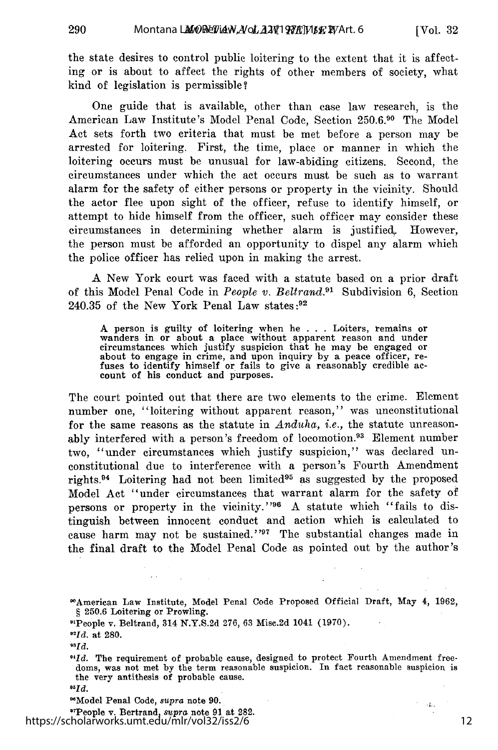the state desires to control public loitering to the extent that it is affecting or is about to affect the rights of other members of society, what kind of legislation is permissible?

One guide that is available, other than case law research, is the American Law Institute's Model Penal Code, Section 250.6.90 The Model Act sets forth two criteria that must be met before a person may be arrested for loitering. First, the time, place or manner in which the loitering occurs must be unusual for law-abiding citizens. Second, the circumstances under which the act occurs must be such as to warrant alarm for the safety of either persons or property in the vicinity. Should the actor flee upon sight of the officer, refuse to identify himself, or attempt to hide himself from the officer, such officer may consider these circumstances in determining whether alarm is justified. However, the person must be afforded an opportunity to dispel any alarm which the police officer has relied upon in making the arrest.

A New York court was faced with a statute based on a prior draft of this Model Penal Code in *People v. Beltrand.91* Subdivision 6, Section 240.35 of the New York Penal Law states **:92**

A person is guilty of loitering when he . . . Loiters, remains or wanders in or about a place without apparent reason and under circumstances which justify suspicion that he may be engaged or<br>about to engage in crime, and upon inquiry by a peace officer, re-<br>fuses to identify himself or fails to give a reasonably credible ac-<br>count of his conduct a

The court pointed out that there are two elements to the crime. Element number one, "loitering without apparent reason," was unconstitutional for the same reasons as the statute in *Anduha, i.e.,* the statute unreasonably interfered with a person's freedom of locomotion.<sup>93</sup> Element number two, "under circumstances which justify suspicion," was declared unconstitutional due to interference with a person's Fourth Amendment rights.<sup>94</sup> Loitering had not been limited<sup>95</sup> as suggested by the proposed Model Act "under circumstances that warrant alarm for the safety of persons or property in the vicinity."<sup>96</sup> A statute which "fails to distinguish between innocent conduct and action which is calculated to cause harm may not be sustained."<sup>97</sup> The substantial changes made in the final draft to the Model Penal Code as pointed out by the author's

*"Id.* at 280.

"Model Penal Code, *supra* note **90.**

'TPeople v. Bertrand, *supra* note 91 at **282.** https://scholarworks.umt.edu/mlr/vol32/iss2/6

 $\rightarrow$  2,  $\Box$ 

<sup>&#</sup>x27; 0American Law Institute, Model Penal Code Proposed Official Draft, May 4, 1962, § 250.6 Loitering or Prowling.

O'People v. Beltrand, 314 N.Y.S.2d 276, 63 Misc.2d 1041 (1970).

*<sup>93</sup>Id.*

*<sup>&</sup>quot;Id.* The requirement of probable cause, designed to protect Fourth Amendment freedoms, was not met by the term reasonable suspicion. In fact reasonable suspicion is the very antithesis of probable cause.

*<sup>&</sup>quot;5Id.*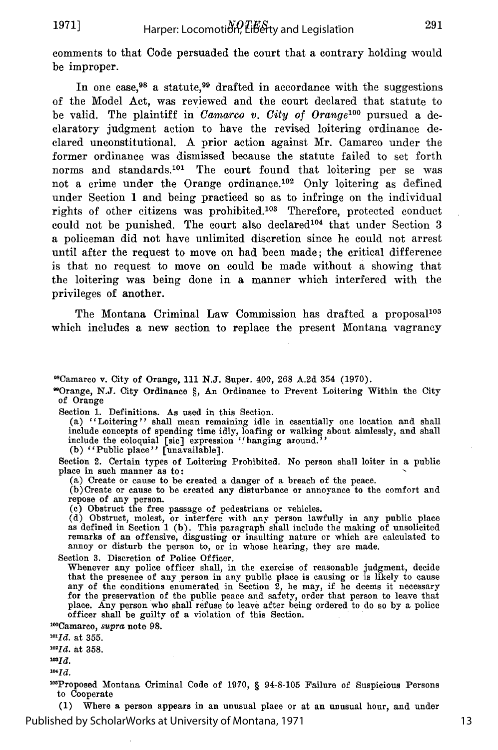comments to that Code persuaded the court that a contrary holding would be improper.

In one case,  $98$  a statute,  $99$  drafted in accordance with the suggestions of the Model Act, was reviewed and the court declared that statute to be valid. The plaintiff in *Camarco v. City of Orange*<sup>100</sup> pursued a declaratory judgment action to have the revised loitering ordinance declared unconstitutional. A prior action against Mr. Camarco under the former ordinance was dismissed because the statute failed to set forth norms and standards.101 The court found that loitering per se was not a crime under the Orange ordinance.<sup>102</sup> Only loitering as defined under Section 1 and being practiced so as to infringe on the individual rights of other citizens was prohibited.<sup>103</sup> Therefore, protected conduct could not be punished. The court also declared  $104$  that under Section 3 a policeman did not have unlimited discretion since he could not arrest until after the request to move on had been made; the critical difference is that no request to move on could be made without a showing that the loitering was being done in a manner which interfered with the privileges of another.

The Montana Criminal Law Commission has drafted a proposal<sup>105</sup> which includes a new section to replace the present Montana vagrancy

'Camarco v. City of Orange, **111 N.J.** Super. 400, 268 A.2d 354 **(1970).**

9Orange, **N.J.** City Ordinance **§,** An Ordinance to Prevent Loitering Within the City of Orange

Section 1. Definitions. As used in this Section.

(a) ''Loitering" shall mean remaining idle in essentially one location and shall include concepts of spending time idly, loafing or walking about aimlessly, and shall include the coloquial [sic] expression ''hanging around." (b) "Public place" [unavailable]

Section 2. Certain types of Loitering Prohibited. No person shall loiter in a public place in such manner as to:

(a) Create or cause to be created a danger of a breach of the peace.

(b)Create or cause to be created any disturbance or annoyance to the comfort and repose of any person. **(e)** Obstruct the free passage of pedestrians or vehicles.

(d) Obstruct, molest, or interfere with any person lawfully in any public place as defined in Section 1 (b). This paragraph shall include the making of unsolicited remarks of an offensive, disgusting or insulting nature or which are calculated to annoy or disturb the person to, or in whose hearing, they are made.

Section 3. Discretion of Police Officer.

Whenever any police officer shall, in the exercise of reasonable judgment, decide that the presence of any person in any public place is causing or is likely to cause any of the conditions enumerated in Section 2, he may, if he deems it necessary for the preservation of the public peace and safety, order that person to leave that place. Any person who shall refuse to leave after being ordered to do so by a police officer shall be guilty of a violation of this Section.

11°Camarco, *supra* note **98.**

*10LId.* at **355.** *1021d.* at 358.

*usId.*

 $^{104}Id.$ 

<sup>105</sup>Proposed Montana Criminal Code of 1970, § 94-8-105 Failure of Suspicious Persons to Cooperate

**(1)** Where a person appears in an unusual place or at an unusual hour, and under Published by ScholarWorks at University of Montana, 1971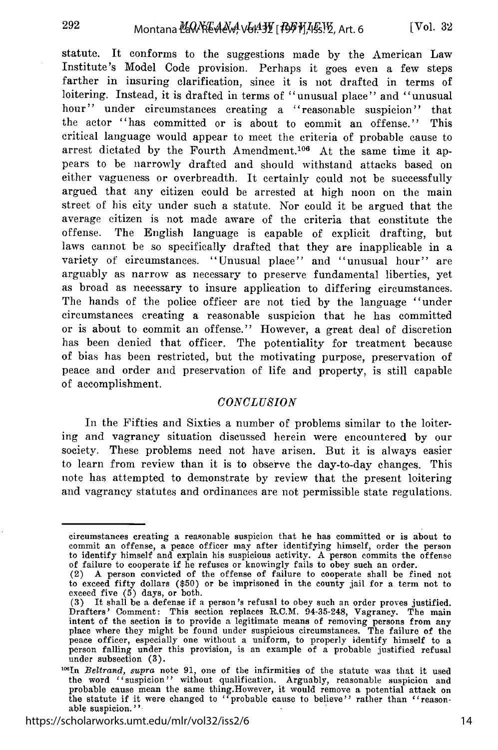statute. It conforms to the suggestions made by the American Law Institute's Model Code provision. Perhaps it goes even a few steps farther in insuring clarification, since it is not drafted in terms of loitering. Instead, it is drafted in terms of "unusual place" and "unusual hour" under circumstances creating a "reasonable suspicion" that the actor "has committed or is about to commit an offense." This critical language would appear to meet the criteria of probable cause to arrest dictated by the Fourth Amendment.<sup>106</sup> At the same time it appears to be narrowly drafted and should withstand attacks based on either vagueness or overbreadth. It certainly could not be successfully argued that any citizen could be arrested at high noon on the main street of his city under such a statute. Nor could it be argued that the average citizen is not made aware of the criteria that constitute the offense. The English language is capable of explicit drafting, but laws cannot be so specifically drafted that they are inapplicable in a variety of circumstances. "Unusual place" and "unusual hour" are arguably as narrow as necessary to preserve fundamental liberties, yet as broad as necessary to insure application to differing circumstances. The hands of the police officer are not tied by the language "under circumstances creating a reasonable suspicion that he has committed or is about to commit an offense." However, a great deal of discretion has been denied that officer. The potentiality for treatment because of bias has been restricted, but the motivating purpose, preservation of peace and order and preservation of life and property, is still capable of accomplishment.

## *CONCLUSION*

In the Fifties and Sixties a number of problems similar to the loitering and vagrancy situation discussed herein were encountered by our society. These problems need not have arisen. But it is always easier to learn from review than it is to observe the day-to-day changes. This note has attempted to demonstrate by review that the present loitering and vagrancy statutes and ordinances are not permissible state regulations.

https://scholarworks.umt.edu/mlr/vol32/iss2/6

circumstances creating a reasonable suspicion that he has committed or is about to commit an offense, a peace officer may after identifying himself, order the person to identify himself and explain his suspicious activity. A person commits the offense of failure to cooperate if he refuses or knowingly fails to obey such an order.

<sup>(2)</sup> A person convicted of the offense of failure to cooperate shall be fined not to exceed fifty dollars (\$50) or be imprisoned in the county jail for a term not to exceed five (5) days, or both.

<sup>(3)</sup> It shall be a defense if a person's refusal to obey such an order proves justified. Drafters' Comment: This section replaces R.C.M. 94-35-248, Vagrancy. The main intent of the section is to provide a legitimate means of removing persons from any place where they might be found under suspicious circumstances. The failure of the peace officer, especially one without a uniform, to properly identify himself to a person falling under this provision, is an example of a probable justified refusal under subsection (3).

<sup>&</sup>lt;sup>106</sup>In *Beltrand, supra* note 91, one of the infirmities of the statute was that it used the word "suspicion" without qualification. Arguably, reasonable suspicion and probable cause mean the same thing. However, it would remove a potential attack on the statute if it were changed to "probable cause to believe able suspicion."